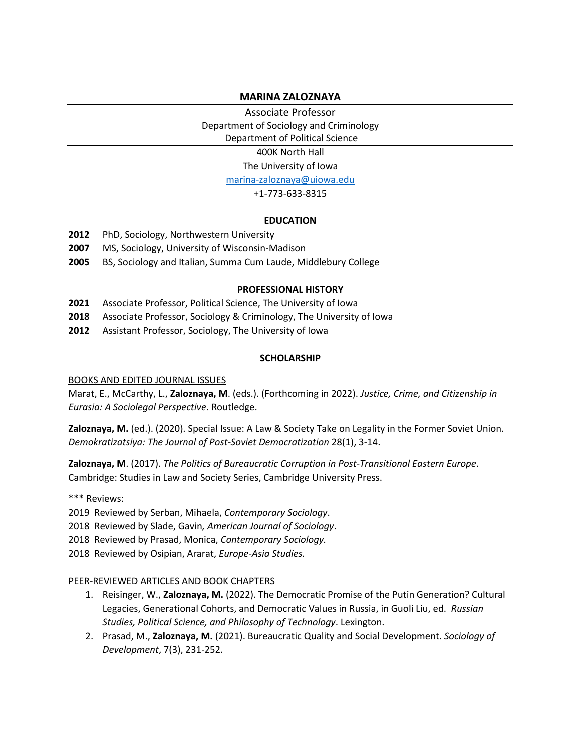## **MARINA ZALOZNAYA**

Associate Professor Department of Sociology and Criminology Department of Political Science

400K North Hall

The University of Iowa

[marina-zaloznaya@uiowa.edu](mailto:marina-zaloznaya@uiowa.edu)

### +1-773-633-8315

#### **EDUCATION**

- **2012** PhD, Sociology, Northwestern University
- **2007** MS, Sociology, University of Wisconsin-Madison
- **2005** BS, Sociology and Italian, Summa Cum Laude, Middlebury College

#### **PROFESSIONAL HISTORY**

- **2021** Associate Professor, Political Science, The University of Iowa
- **2018** Associate Professor, Sociology & Criminology, The University of Iowa
- **2012** Assistant Professor, Sociology, The University of Iowa

#### **SCHOLARSHIP**

#### BOOKS AND EDITED JOURNAL ISSUES

Marat, E., McCarthy, L., **Zaloznaya, M**. (eds.). (Forthcoming in 2022). *Justice, Crime, and Citizenship in Eurasia: A Sociolegal Perspective*. Routledge.

**Zaloznaya, M.** (ed.). (2020). Special Issue: A Law & Society Take on Legality in the Former Soviet Union. *Demokratizatsiya: The Journal of Post-Soviet Democratization* 28(1), 3-14.

**Zaloznaya, M**. (2017). *The Politics of Bureaucratic Corruption in Post-Transitional Eastern Europe*. Cambridge: Studies in Law and Society Series, Cambridge University Press.

\*\*\* Reviews:

2019 Reviewed by Serban, Mihaela, *Contemporary Sociology*.

2018 Reviewed by Slade, Gavin*, American Journal of Sociology*.

2018 Reviewed by Prasad, Monica, *Contemporary Sociology.*

2018 Reviewed by Osipian, Ararat, *Europe-Asia Studies.*

#### PEER-REVIEWED ARTICLES AND BOOK CHAPTERS

- 1. Reisinger, W., **Zaloznaya, M.** (2022). The Democratic Promise of the Putin Generation? Cultural Legacies, Generational Cohorts, and Democratic Values in Russia, in Guoli Liu, ed. *Russian Studies, Political Science, and Philosophy of Technology*. Lexington.
- 2. Prasad, M., **Zaloznaya, M.** (2021). Bureaucratic Quality and Social Development. *Sociology of Development*, 7(3), 231-252.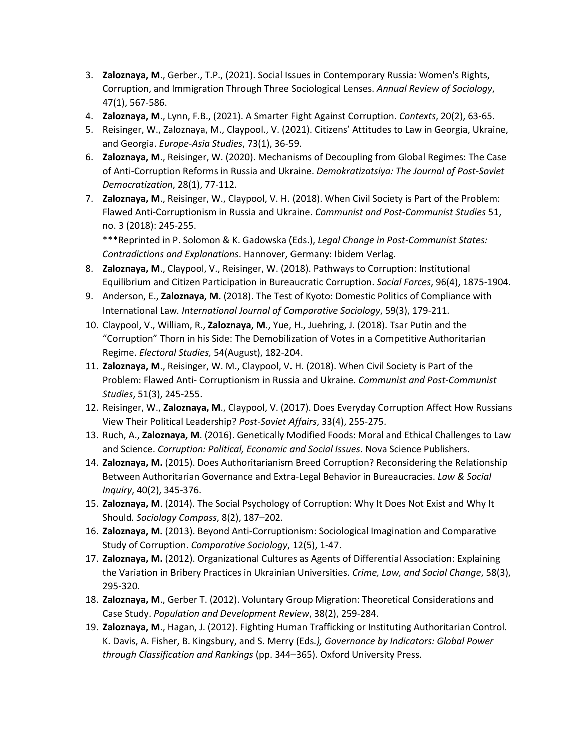- 3. **Zaloznaya, M**., Gerber., T.P., (2021). Social Issues in Contemporary Russia: Women's Rights, Corruption, and Immigration Through Three Sociological Lenses. *Annual Review of Sociology*, 47(1), 567-586.
- 4. **Zaloznaya, M**., Lynn, F.B., (2021). A Smarter Fight Against Corruption. *Contexts*, 20(2), 63-65.
- 5. Reisinger, W., Zaloznaya, M., Claypool., V. (2021). Citizens' Attitudes to Law in Georgia, Ukraine, and Georgia. *Europe-Asia Studies*, 73(1), 36-59.
- 6. **Zaloznaya, M**., Reisinger, W. (2020). Mechanisms of Decoupling from Global Regimes: The Case of Anti-Corruption Reforms in Russia and Ukraine. *Demokratizatsiya: The Journal of Post-Soviet Democratization*, 28(1), 77-112.
- 7. **Zaloznaya, M**., Reisinger, W., Claypool, V. H. (2018). When Civil Society is Part of the Problem: Flawed Anti-Corruptionism in Russia and Ukraine. *Communist and Post-Communist Studies* 51, no. 3 (2018): 245-255.

\*\*\*Reprinted in P. Solomon & K. Gadowska (Eds.), *Legal Change in Post-Communist States: Contradictions and Explanations*. Hannover, Germany: Ibidem Verlag.

- 8. **Zaloznaya, M**., Claypool, V., Reisinger, W. (2018). Pathways to Corruption: Institutional Equilibrium and Citizen Participation in Bureaucratic Corruption. *Social Forces*, 96(4), 1875-1904.
- 9. Anderson, E., **Zaloznaya, M.** (2018). The Test of Kyoto: Domestic Politics of Compliance with International Law*. International Journal of Comparative Sociology*, 59(3), 179-211.
- 10. Claypool, V., William, R., **Zaloznaya, M.**, Yue, H., Juehring, J. (2018). Tsar Putin and the "Corruption" Thorn in his Side: The Demobilization of Votes in a Competitive Authoritarian Regime. *Electoral Studies,* 54(August), 182-204.
- 11. **Zaloznaya, M**., Reisinger, W. M., Claypool, V. H. (2018). When Civil Society is Part of the Problem: Flawed Anti- Corruptionism in Russia and Ukraine. *Communist and Post-Communist Studies*, 51(3), 245-255.
- 12. Reisinger, W., **Zaloznaya, M**., Claypool, V. (2017). Does Everyday Corruption Affect How Russians View Their Political Leadership? *Post-Soviet Affairs*, 33(4), 255-275.
- 13. Ruch, A., **Zaloznaya, M**. (2016). Genetically Modified Foods: Moral and Ethical Challenges to Law and Science. *Corruption: Political, Economic and Social Issues*. Nova Science Publishers.
- 14. **Zaloznaya, M.** (2015). Does Authoritarianism Breed Corruption? Reconsidering the Relationship Between Authoritarian Governance and Extra-Legal Behavior in Bureaucracies. *Law & Social Inquiry*, 40(2), 345-376.
- 15. **Zaloznaya, M**. (2014). The Social Psychology of Corruption: Why It Does Not Exist and Why It Should*. Sociology Compass*, 8(2), 187–202.
- 16. **Zaloznaya, M.** (2013). Beyond Anti-Corruptionism: Sociological Imagination and Comparative Study of Corruption. *Comparative Sociology*, 12(5), 1-47.
- 17. **Zaloznaya, M.** (2012). Organizational Cultures as Agents of Differential Association: Explaining the Variation in Bribery Practices in Ukrainian Universities. *Crime, Law, and Social Change*, 58(3), 295-320.
- 18. **Zaloznaya, M**., Gerber T. (2012). Voluntary Group Migration: Theoretical Considerations and Case Study. *Population and Development Review*, 38(2), 259-284.
- 19. **Zaloznaya, M**., Hagan, J. (2012). Fighting Human Trafficking or Instituting Authoritarian Control. K. Davis, A. Fisher, B. Kingsbury, and S. Merry (Eds*.), Governance by Indicators: Global Power through Classification and Rankings* (pp. 344–365). Oxford University Press.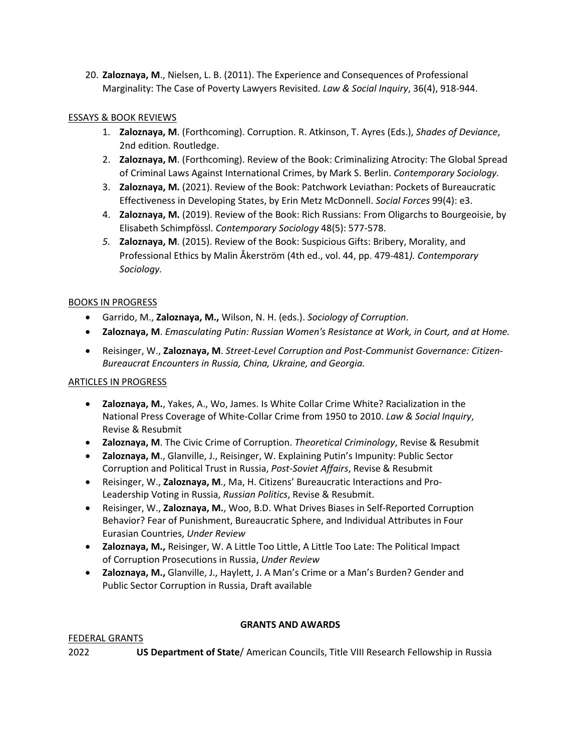20. **Zaloznaya, M**., Nielsen, L. B. (2011). The Experience and Consequences of Professional Marginality: The Case of Poverty Lawyers Revisited. *Law & Social Inquiry*, 36(4), 918-944.

# ESSAYS & BOOK REVIEWS

- 1. **Zaloznaya, M**. (Forthcoming). Corruption. R. Atkinson, T. Ayres (Eds.), *Shades of Deviance*, 2nd edition. Routledge.
- 2. **Zaloznaya, M**. (Forthcoming). Review of the Book: Criminalizing Atrocity: The Global Spread of Criminal Laws Against International Crimes, by Mark S. Berlin. *Contemporary Sociology.*
- 3. **Zaloznaya, M.** (2021). Review of the Book: Patchwork Leviathan: Pockets of Bureaucratic Effectiveness in Developing States, by Erin Metz McDonnell. *Social Forces* 99(4): e3.
- 4. **Zaloznaya, M.** (2019). Review of the Book: Rich Russians: From Oligarchs to Bourgeoisie, by Elisabeth Schimpfössl. *Contemporary Sociology* 48(5): 577-578.
- *5.* **Zaloznaya, M**. (2015). Review of the Book: Suspicious Gifts: Bribery, Morality, and Professional Ethics by Malin Åkerström (4th ed., vol. 44, pp. 479-481*). Contemporary Sociology.*

# BOOKS IN PROGRESS

- Garrido, M., **Zaloznaya, M.,** Wilson, N. H. (eds.). *Sociology of Corruption*.
- **Zaloznaya, M**. *Emasculating Putin: Russian Women's Resistance at Work, in Court, and at Home.*
- Reisinger, W., **Zaloznaya, M**. *Street-Level Corruption and Post-Communist Governance: Citizen-Bureaucrat Encounters in Russia, China, Ukraine, and Georgia.*

# ARTICLES IN PROGRESS

- **Zaloznaya, M.**, Yakes, A., Wo, James. Is White Collar Crime White? Racialization in the National Press Coverage of White-Collar Crime from 1950 to 2010. *Law & Social Inquiry*, Revise & Resubmit
- **Zaloznaya, M**. The Civic Crime of Corruption. *Theoretical Criminology*, Revise & Resubmit
- **Zaloznaya, M**., Glanville, J., Reisinger, W. Explaining Putin's Impunity: Public Sector Corruption and Political Trust in Russia, *Post-Soviet Affairs*, Revise & Resubmit
- Reisinger, W., **Zaloznaya, M**., Ma, H. Citizens' Bureaucratic Interactions and Pro-Leadership Voting in Russia, *Russian Politics*, Revise & Resubmit.
- Reisinger, W., **Zaloznaya, M.**, Woo, B.D. What Drives Biases in Self-Reported Corruption Behavior? Fear of Punishment, Bureaucratic Sphere, and Individual Attributes in Four Eurasian Countries, *Under Review*
- **Zaloznaya, M.,** Reisinger, W. A Little Too Little, A Little Too Late: The Political Impact of Corruption Prosecutions in Russia, *Under Review*
- **Zaloznaya, M.,** Glanville, J., Haylett, J. A Man's Crime or a Man's Burden? Gender and Public Sector Corruption in Russia, Draft available

# **GRANTS AND AWARDS**

# FEDERAL GRANTS

2022 **US Department of State**/ American Councils, Title VIII Research Fellowship in Russia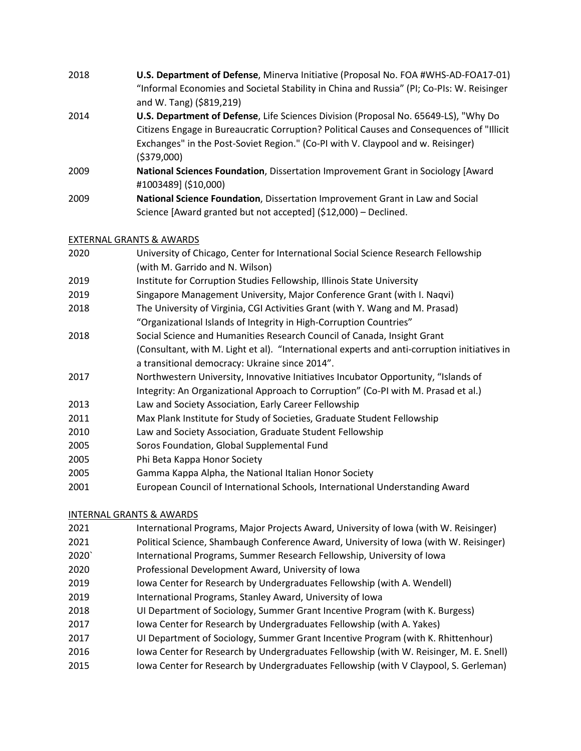2018 **U.S. Department of Defense**, Minerva Initiative (Proposal No. FOA #WHS-AD-FOA17-01) "Informal Economies and Societal Stability in China and Russia" (PI; Co-PIs: W. Reisinger and W. Tang) (\$819,219) 2014 **U.S. Department of Defense**, Life Sciences Division (Proposal No. 65649-LS), "Why Do Citizens Engage in Bureaucratic Corruption? Political Causes and Consequences of "Illicit Exchanges" in the Post-Soviet Region." (Co-PI with V. Claypool and w. Reisinger) (\$379,000) 2009 **National Sciences Foundation**, Dissertation Improvement Grant in Sociology [Award #1003489] (\$10,000) 2009 **National Science Foundation**, Dissertation Improvement Grant in Law and Social Science [Award granted but not accepted] (\$12,000) – Declined.

## EXTERNAL GRANTS & AWARDS

- 2020 University of Chicago, Center for International Social Science Research Fellowship (with M. Garrido and N. Wilson)
- 2019 Institute for Corruption Studies Fellowship, Illinois State University
- 2019 Singapore Management University, Major Conference Grant (with I. Naqvi)
- 2018 The University of Virginia, CGI Activities Grant (with Y. Wang and M. Prasad) "Organizational Islands of Integrity in High-Corruption Countries"
- 2018 Social Science and Humanities Research Council of Canada, Insight Grant (Consultant, with M. Light et al). "International experts and anti-corruption initiatives in a transitional democracy: Ukraine since 2014".
- 2017 Northwestern University, Innovative Initiatives Incubator Opportunity, "Islands of Integrity: An Organizational Approach to Corruption" (Co-PI with M. Prasad et al.)
- 2013 Law and Society Association, Early Career Fellowship
- 2011 Max Plank Institute for Study of Societies, Graduate Student Fellowship
- 2010 Law and Society Association, Graduate Student Fellowship
- 2005 Soros Foundation, Global Supplemental Fund
- 2005 Phi Beta Kappa Honor Society
- 2005 Gamma Kappa Alpha, the National Italian Honor Society
- 2001 European Council of International Schools, International Understanding Award

# INTERNAL GRANTS & AWARDS

- 2021 International Programs, Major Projects Award, University of Iowa (with W. Reisinger)
- 2021 Political Science, Shambaugh Conference Award, University of Iowa (with W. Reisinger)
- 2020` International Programs, Summer Research Fellowship, University of Iowa
- 2020 Professional Development Award, University of Iowa
- 2019 Iowa Center for Research by Undergraduates Fellowship (with A. Wendell)
- 2019 International Programs, Stanley Award, University of Iowa
- 2018 UI Department of Sociology, Summer Grant Incentive Program (with K. Burgess)
- 2017 Iowa Center for Research by Undergraduates Fellowship (with A. Yakes)
- 2017 UI Department of Sociology, Summer Grant Incentive Program (with K. Rhittenhour)
- 2016 Iowa Center for Research by Undergraduates Fellowship (with W. Reisinger, M. E. Snell)
- 2015 Iowa Center for Research by Undergraduates Fellowship (with V Claypool, S. Gerleman)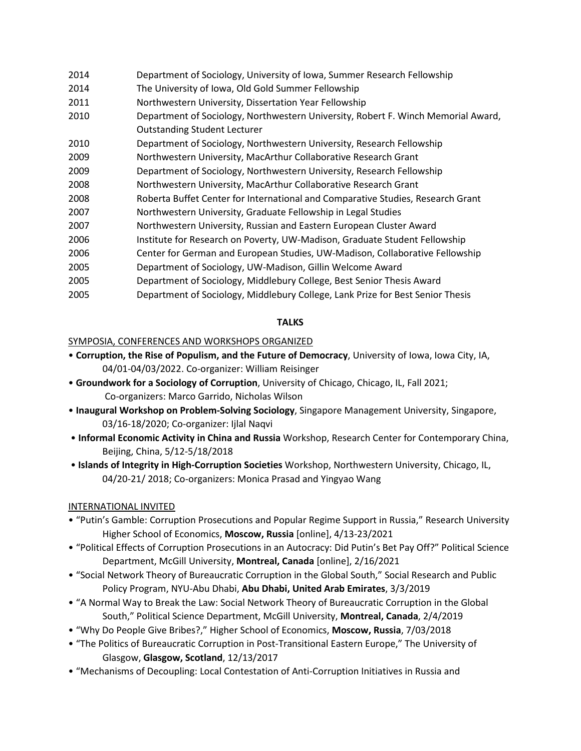| 2014 | Department of Sociology, University of Iowa, Summer Research Fellowship           |
|------|-----------------------------------------------------------------------------------|
| 2014 | The University of Iowa, Old Gold Summer Fellowship                                |
| 2011 | Northwestern University, Dissertation Year Fellowship                             |
| 2010 | Department of Sociology, Northwestern University, Robert F. Winch Memorial Award, |
|      | <b>Outstanding Student Lecturer</b>                                               |
| 2010 | Department of Sociology, Northwestern University, Research Fellowship             |
| 2009 | Northwestern University, MacArthur Collaborative Research Grant                   |
| 2009 | Department of Sociology, Northwestern University, Research Fellowship             |
| 2008 | Northwestern University, MacArthur Collaborative Research Grant                   |
| 2008 | Roberta Buffet Center for International and Comparative Studies, Research Grant   |
| 2007 | Northwestern University, Graduate Fellowship in Legal Studies                     |
| 2007 | Northwestern University, Russian and Eastern European Cluster Award               |
| 2006 | Institute for Research on Poverty, UW-Madison, Graduate Student Fellowship        |
| 2006 | Center for German and European Studies, UW-Madison, Collaborative Fellowship      |
| 2005 | Department of Sociology, UW-Madison, Gillin Welcome Award                         |
| 2005 | Department of Sociology, Middlebury College, Best Senior Thesis Award             |
| 2005 | Department of Sociology, Middlebury College, Lank Prize for Best Senior Thesis    |
|      |                                                                                   |

## **TALKS**

## SYMPOSIA, CONFERENCES AND WORKSHOPS ORGANIZED

- **Corruption, the Rise of Populism, and the Future of Democracy**, University of Iowa, Iowa City, IA, 04/01-04/03/2022. Co-organizer: William Reisinger
- **Groundwork for a Sociology of Corruption**, University of Chicago, Chicago, IL, Fall 2021; Co-organizers: Marco Garrido, Nicholas Wilson
- **Inaugural Workshop on Problem-Solving Sociology**, Singapore Management University, Singapore, 03/16-18/2020; Co-organizer: Ijlal Naqvi
- **Informal Economic Activity in China and Russia** Workshop, Research Center for Contemporary China, Beijing, China, 5/12-5/18/2018
- **Islands of Integrity in High-Corruption Societies** Workshop, Northwestern University, Chicago, IL, 04/20-21/ 2018; Co-organizers: Monica Prasad and Yingyao Wang

# INTERNATIONAL INVITED

- "Putin's Gamble: Corruption Prosecutions and Popular Regime Support in Russia," Research University Higher School of Economics, **Moscow, Russia** [online], 4/13-23/2021
- "Political Effects of Corruption Prosecutions in an Autocracy: Did Putin's Bet Pay Off?" Political Science Department, McGill University, **Montreal, Canada** [online], 2/16/2021
- "Social Network Theory of Bureaucratic Corruption in the Global South," Social Research and Public Policy Program, NYU-Abu Dhabi, **Abu Dhabi, United Arab Emirates**, 3/3/2019
- "A Normal Way to Break the Law: Social Network Theory of Bureaucratic Corruption in the Global South," Political Science Department, McGill University, **Montreal, Canada**, 2/4/2019
- "Why Do People Give Bribes?," Higher School of Economics, **Moscow, Russia**, 7/03/2018
- "The Politics of Bureaucratic Corruption in Post-Transitional Eastern Europe," The University of Glasgow, **Glasgow, Scotland**, 12/13/2017
- "Mechanisms of Decoupling: Local Contestation of Anti-Corruption Initiatives in Russia and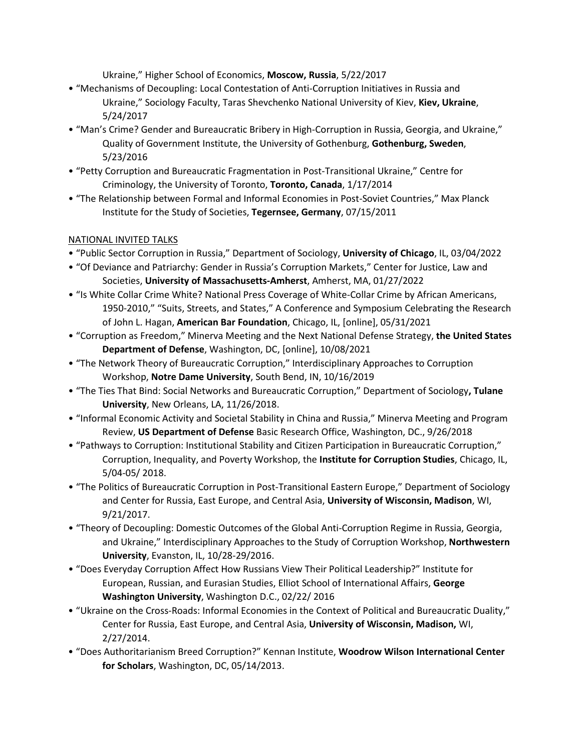Ukraine," Higher School of Economics, **Moscow, Russia**, 5/22/2017

- "Mechanisms of Decoupling: Local Contestation of Anti-Corruption Initiatives in Russia and Ukraine," Sociology Faculty, Taras Shevchenko National University of Kiev, **Kiev, Ukraine**, 5/24/2017
- "Man's Crime? Gender and Bureaucratic Bribery in High-Corruption in Russia, Georgia, and Ukraine," Quality of Government Institute, the University of Gothenburg, **Gothenburg, Sweden**, 5/23/2016
- "Petty Corruption and Bureaucratic Fragmentation in Post-Transitional Ukraine," Centre for Criminology, the University of Toronto, **Toronto, Canada**, 1/17/2014
- "The Relationship between Formal and Informal Economies in Post-Soviet Countries," Max Planck Institute for the Study of Societies, **Tegernsee, Germany**, 07/15/2011

# NATIONAL INVITED TALKS

- "Public Sector Corruption in Russia," Department of Sociology, **University of Chicago**, IL, 03/04/2022
- "Of Deviance and Patriarchy: Gender in Russia's Corruption Markets," Center for Justice, Law and Societies, **University of Massachusetts-Amherst**, Amherst, MA, 01/27/2022
- "Is White Collar Crime White? National Press Coverage of White-Collar Crime by African Americans, 1950-2010," "Suits, Streets, and States," A Conference and Symposium Celebrating the Research of John L. Hagan, **American Bar Foundation**, Chicago, IL, [online], 05/31/2021
- "Corruption as Freedom," Minerva Meeting and the Next National Defense Strategy, **the United States Department of Defense**, Washington, DC, [online], 10/08/2021
- "The Network Theory of Bureaucratic Corruption," Interdisciplinary Approaches to Corruption Workshop, **Notre Dame University**, South Bend, IN, 10/16/2019
- "The Ties That Bind: Social Networks and Bureaucratic Corruption," Department of Sociology**, Tulane University**, New Orleans, LA, 11/26/2018.
- "Informal Economic Activity and Societal Stability in China and Russia," Minerva Meeting and Program Review, **US Department of Defense** Basic Research Office, Washington, DC., 9/26/2018
- "Pathways to Corruption: Institutional Stability and Citizen Participation in Bureaucratic Corruption," Corruption, Inequality, and Poverty Workshop, the **Institute for Corruption Studies**, Chicago, IL, 5/04-05/ 2018.
- "The Politics of Bureaucratic Corruption in Post-Transitional Eastern Europe," Department of Sociology and Center for Russia, East Europe, and Central Asia, **University of Wisconsin, Madison**, WI, 9/21/2017.
- "Theory of Decoupling: Domestic Outcomes of the Global Anti-Corruption Regime in Russia, Georgia, and Ukraine," Interdisciplinary Approaches to the Study of Corruption Workshop, **Northwestern University**, Evanston, IL, 10/28-29/2016.
- "Does Everyday Corruption Affect How Russians View Their Political Leadership?" Institute for European, Russian, and Eurasian Studies, Elliot School of International Affairs, **George Washington University**, Washington D.C., 02/22/ 2016
- "Ukraine on the Cross-Roads: Informal Economies in the Context of Political and Bureaucratic Duality," Center for Russia, East Europe, and Central Asia, **University of Wisconsin, Madison,** WI, 2/27/2014.
- "Does Authoritarianism Breed Corruption?" Kennan Institute, **Woodrow Wilson International Center for Scholars**, Washington, DC, 05/14/2013.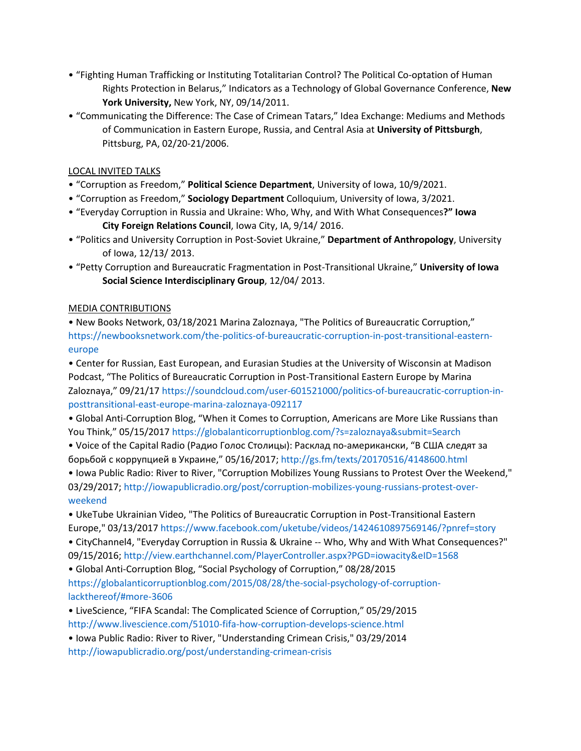- "Fighting Human Trafficking or Instituting Totalitarian Control? The Political Co-optation of Human Rights Protection in Belarus," Indicators as a Technology of Global Governance Conference, **New York University,** New York, NY, 09/14/2011.
- "Communicating the Difference: The Case of Crimean Tatars," Idea Exchange: Mediums and Methods of Communication in Eastern Europe, Russia, and Central Asia at **University of Pittsburgh**, Pittsburg, PA, 02/20-21/2006.

## LOCAL INVITED TALKS

- "Corruption as Freedom," **Political Science Department**, University of Iowa, 10/9/2021.
- "Corruption as Freedom," **Sociology Department** Colloquium, University of Iowa, 3/2021.
- "Everyday Corruption in Russia and Ukraine: Who, Why, and With What Consequences**?" Iowa City Foreign Relations Council**, Iowa City, IA, 9/14/ 2016.
- "Politics and University Corruption in Post-Soviet Ukraine," **Department of Anthropology**, University of Iowa, 12/13/ 2013.
- "Petty Corruption and Bureaucratic Fragmentation in Post-Transitional Ukraine," **University of Iowa Social Science Interdisciplinary Group**, 12/04/ 2013.

## MEDIA CONTRIBUTIONS

• New Books Network, 03/18/2021 Marina Zaloznaya, "The Politics of Bureaucratic Corruption," [https://newbooksnetwork.com/the-politics-of-bureaucratic-corruption-in-post-transitional-eastern](https://newbooksnetwork.com/the-politics-of-bureaucratic-corruption-in-post-transitional-eastern-europe)[europe](https://newbooksnetwork.com/the-politics-of-bureaucratic-corruption-in-post-transitional-eastern-europe)

• Center for Russian, East European, and Eurasian Studies at the University of Wisconsin at Madison Podcast, "The Politics of Bureaucratic Corruption in Post-Transitional Eastern Europe by Marina Zaloznaya," 09/21/1[7 https://soundcloud.com/user-601521000/politics-of-bureaucratic-corruption-in](https://soundcloud.com/user-601521000/politics-of-bureaucratic-corruption-in-posttransitional-east-europe-marina-zaloznaya-092117)[posttransitional-east-europe-marina-zaloznaya-092117](https://soundcloud.com/user-601521000/politics-of-bureaucratic-corruption-in-posttransitional-east-europe-marina-zaloznaya-092117)

• Global Anti-Corruption Blog, "When it Comes to Corruption, Americans are More Like Russians than You Think," 05/15/2017<https://globalanticorruptionblog.com/?s=zaloznaya&submit=Search>

• Voice of the Capital Radio (Радио Голос Столицы): Расклад по-американски, "В США следят за борьбой с коррупцией в Украине," 05/16/2017; <http://gs.fm/texts/20170516/4148600.html>

• Iowa Public Radio: River to River, "Corruption Mobilizes Young Russians to Protest Over the Weekend," 03/29/2017[; http://iowapublicradio.org/post/corruption-mobilizes-young-russians-protest-over](http://iowapublicradio.org/post/corruption-mobilizes-young-russians-protest-over-weekend)[weekend](http://iowapublicradio.org/post/corruption-mobilizes-young-russians-protest-over-weekend)

• UkeTube Ukrainian Video, "The Politics of Bureaucratic Corruption in Post-Transitional Eastern Europe," 03/13/2017<https://www.facebook.com/uketube/videos/1424610897569146/?pnref=story>

• CityChannel4, "Everyday Corruption in Russia & Ukraine -- Who, Why and With What Consequences?" 09/15/2016[; http://view.earthchannel.com/PlayerController.aspx?PGD=iowacity&eID=1568](http://view.earthchannel.com/PlayerController.aspx?PGD=iowacity&eID=1568)

• Global Anti-Corruption Blog, "Social Psychology of Corruption," 08/28/2015 [https://globalanticorruptionblog.com/2015/08/28/the-social-psychology-of-corruption](https://globalanticorruptionblog.com/2015/08/28/the-social-psychology-of-corruption-lackthereof/#more-3606)[lackthereof/#more-3606](https://globalanticorruptionblog.com/2015/08/28/the-social-psychology-of-corruption-lackthereof/#more-3606)

• LiveScience, "FIFA Scandal: The Complicated Science of Corruption," 05/29/2015

<http://www.livescience.com/51010-fifa-how-corruption-develops-science.html>

• Iowa Public Radio: River to River, "Understanding Crimean Crisis," 03/29/2014 <http://iowapublicradio.org/post/understanding-crimean-crisis>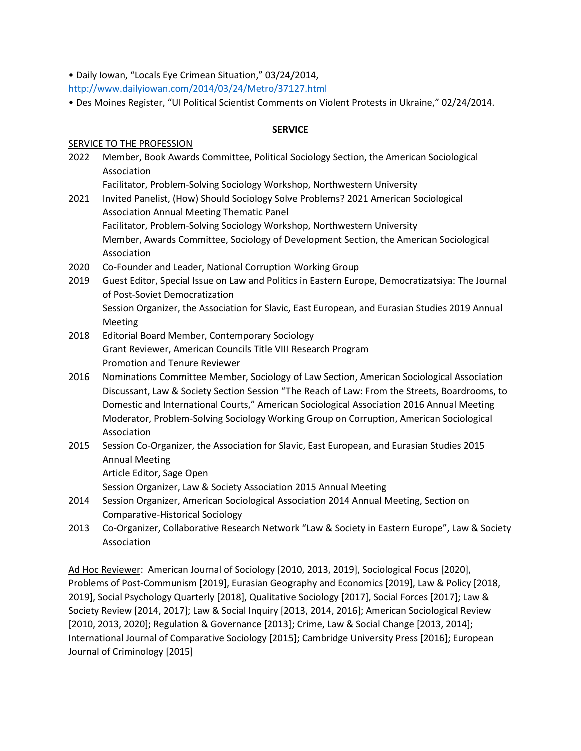• Daily Iowan, "Locals Eye Crimean Situation," 03/24/2014,

<http://www.dailyiowan.com/2014/03/24/Metro/37127.html>

• Des Moines Register, "UI Political Scientist Comments on Violent Protests in Ukraine," 02/24/2014.

### **SERVICE**

### SERVICE TO THE PROFESSION

- 2022 Member, Book Awards Committee, Political Sociology Section, the American Sociological Association
	- Facilitator, Problem-Solving Sociology Workshop, Northwestern University
- 2021 Invited Panelist, (How) Should Sociology Solve Problems? 2021 American Sociological Association Annual Meeting Thematic Panel Facilitator, Problem-Solving Sociology Workshop, Northwestern University Member, Awards Committee, Sociology of Development Section, the American Sociological Association
- 2020 Co-Founder and Leader, National Corruption Working Group
- 2019 Guest Editor, Special Issue on Law and Politics in Eastern Europe, Democratizatsiya: The Journal of Post-Soviet Democratization Session Organizer, the Association for Slavic, East European, and Eurasian Studies 2019 Annual Meeting
- 2018 Editorial Board Member, Contemporary Sociology Grant Reviewer, American Councils Title VIII Research Program Promotion and Tenure Reviewer
- 2016 Nominations Committee Member, Sociology of Law Section, American Sociological Association Discussant, Law & Society Section Session "The Reach of Law: From the Streets, Boardrooms, to Domestic and International Courts," American Sociological Association 2016 Annual Meeting Moderator, Problem-Solving Sociology Working Group on Corruption, American Sociological Association
- 2015 Session Co-Organizer, the Association for Slavic, East European, and Eurasian Studies 2015 Annual Meeting
	- Article Editor, Sage Open

Session Organizer, Law & Society Association 2015 Annual Meeting

- 2014 Session Organizer, American Sociological Association 2014 Annual Meeting, Section on Comparative-Historical Sociology
- 2013 Co-Organizer, Collaborative Research Network "Law & Society in Eastern Europe", Law & Society Association

Ad Hoc Reviewer: American Journal of Sociology [2010, 2013, 2019], Sociological Focus [2020], Problems of Post-Communism [2019], Eurasian Geography and Economics [2019], Law & Policy [2018, 2019], Social Psychology Quarterly [2018], Qualitative Sociology [2017], Social Forces [2017]; Law & Society Review [2014, 2017]; Law & Social Inquiry [2013, 2014, 2016]; American Sociological Review [2010, 2013, 2020]; Regulation & Governance [2013]; Crime, Law & Social Change [2013, 2014]; International Journal of Comparative Sociology [2015]; Cambridge University Press [2016]; European Journal of Criminology [2015]